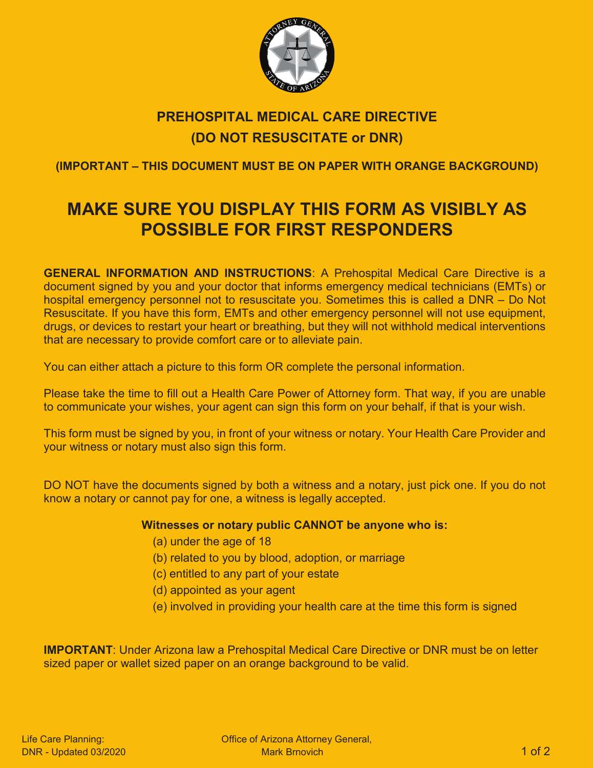

## **PREHOSPITAL MEDICAL CARE DIRECTIVE (DO NOT RESUSCITATE or DNR)**

**(IMPORTANT – THIS DOCUMENT MUST BE ON PAPER WITH ORANGE BACKGROUND)**

# **MAKE SURE YOU DISPLAY THIS FORM AS VISIBLY AS POSSIBLE FOR FIRST RESPONDERS**

**GENERAL INFORMATION AND INSTRUCTIONS**: A Prehospital Medical Care Directive is a document signed by you and your doctor that informs emergency medical technicians (EMTs) or hospital emergency personnel not to resuscitate you. Sometimes this is called a DNR – Do Not Resuscitate. If you have this form, EMTs and other emergency personnel will not use equipment, drugs, or devices to restart your heart or breathing, but they will not withhold medical interventions that are necessary to provide comfort care or to alleviate pain.

You can either attach a picture to this form OR complete the personal information.

Please take the time to fill out a Health Care Power of Attorney form. That way, if you are unable to communicate your wishes, your agent can sign this form on your behalf, if that is your wish.

This form must be signed by you, in front of your witness or notary. Your Health Care Provider and your witness or notary must also sign this form.

DO NOT have the documents signed by both a witness and a notary, just pick one. If you do not know a notary or cannot pay for one, a witness is legally accepted.

#### **Witnesses or notary public CANNOT be anyone who is:**

- (a) under the age of 18
- (b) related to you by blood, adoption, or marriage
- (c) entitled to any part of your estate
- (d) appointed as your agent
- (e) involved in providing your health care at the time this form is signed

**IMPORTANT:** Under Arizona law a Prehospital Medical Care Directive or DNR must be on letter sized paper or wallet sized paper on an orange background to be valid.